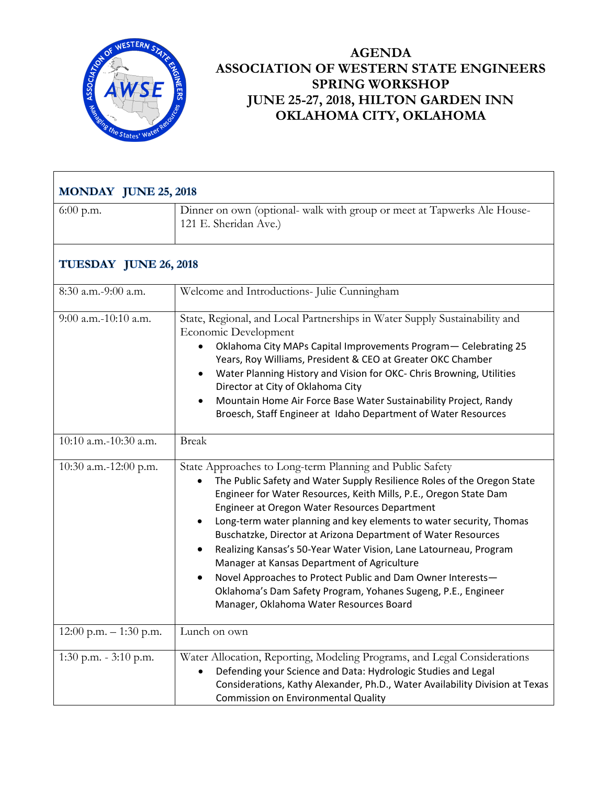

## **AGENDA ASSOCIATION OF WESTERN STATE ENGINEERS SPRING WORKSHOP JUNE 25-27, 2018, HILTON GARDEN INN OKLAHOMA CITY, OKLAHOMA**

| <b>MONDAY JUNE 25, 2018</b> |                                                                                                                                                                                                                                                                                                                                                                                                                                                                                                                                                                                                                                                                                                  |  |
|-----------------------------|--------------------------------------------------------------------------------------------------------------------------------------------------------------------------------------------------------------------------------------------------------------------------------------------------------------------------------------------------------------------------------------------------------------------------------------------------------------------------------------------------------------------------------------------------------------------------------------------------------------------------------------------------------------------------------------------------|--|
| $6:00$ p.m.                 | Dinner on own (optional- walk with group or meet at Tapwerks Ale House-<br>121 E. Sheridan Ave.)                                                                                                                                                                                                                                                                                                                                                                                                                                                                                                                                                                                                 |  |
| TUESDAY JUNE 26, 2018       |                                                                                                                                                                                                                                                                                                                                                                                                                                                                                                                                                                                                                                                                                                  |  |
| 8:30 a.m.-9:00 a.m.         | Welcome and Introductions- Julie Cunningham                                                                                                                                                                                                                                                                                                                                                                                                                                                                                                                                                                                                                                                      |  |
| $9:00$ a.m.-10:10 a.m.      | State, Regional, and Local Partnerships in Water Supply Sustainability and<br>Economic Development<br>Oklahoma City MAPs Capital Improvements Program- Celebrating 25<br>Years, Roy Williams, President & CEO at Greater OKC Chamber<br>Water Planning History and Vision for OKC- Chris Browning, Utilities<br>Director at City of Oklahoma City<br>Mountain Home Air Force Base Water Sustainability Project, Randy<br>Broesch, Staff Engineer at Idaho Department of Water Resources                                                                                                                                                                                                          |  |
| 10:10 a.m.-10:30 a.m.       | <b>Break</b>                                                                                                                                                                                                                                                                                                                                                                                                                                                                                                                                                                                                                                                                                     |  |
| 10:30 a.m.-12:00 p.m.       | State Approaches to Long-term Planning and Public Safety<br>The Public Safety and Water Supply Resilience Roles of the Oregon State<br>Engineer for Water Resources, Keith Mills, P.E., Oregon State Dam<br>Engineer at Oregon Water Resources Department<br>Long-term water planning and key elements to water security, Thomas<br>Buschatzke, Director at Arizona Department of Water Resources<br>Realizing Kansas's 50-Year Water Vision, Lane Latourneau, Program<br>Manager at Kansas Department of Agriculture<br>Novel Approaches to Protect Public and Dam Owner Interests-<br>Oklahoma's Dam Safety Program, Yohanes Sugeng, P.E., Engineer<br>Manager, Oklahoma Water Resources Board |  |
| 12:00 p.m. $-1:30$ p.m.     | Lunch on own                                                                                                                                                                                                                                                                                                                                                                                                                                                                                                                                                                                                                                                                                     |  |
| 1:30 p.m. $-3:10$ p.m.      | Water Allocation, Reporting, Modeling Programs, and Legal Considerations<br>Defending your Science and Data: Hydrologic Studies and Legal<br>Considerations, Kathy Alexander, Ph.D., Water Availability Division at Texas<br><b>Commission on Environmental Quality</b>                                                                                                                                                                                                                                                                                                                                                                                                                          |  |